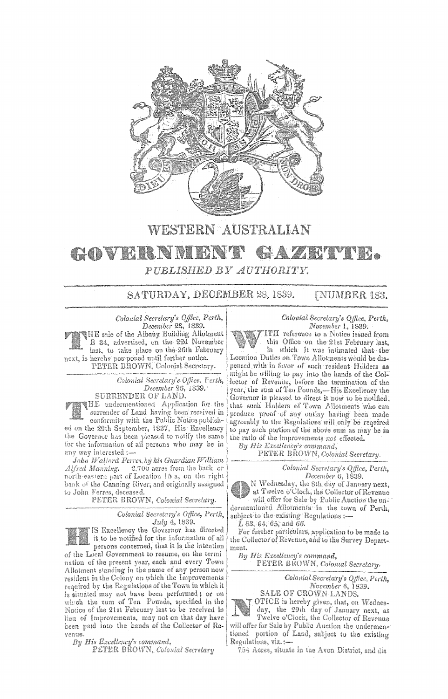

**WESTERN AUSTRALIAN** 

# AZETTEL. GOVERNMET PUBLISHED BY AUTHORITY.

SATURDAY, DECEMBER 28, 1839. **[NUMBER 183.** 

Colonial Secretary's Office, Perth,<br>December 23, 1839. THE sale of the Albany Building Allotment B 34, advertised, on the 22d November last, to take place on the 26th February next, is hereby postponed until further notice. PETER BROWN, Colonial Secretary.

> Colonial Secretary's Office. Ferth, December 26, 1839. SURRENDER OF LAND.

THE undermentioned Application for the surrender of Land having been received in conformity with the Public Notice published on the 29th September, 1837, His Excellency the Governor has been pleased to notify the same for the information of all persons who may be in any way interested :-

John Wallord Ferres, by his Guardian William Alfred Manning. 2.700 acres from the back or north-eastern part of Location 15 a; on the right bank of the Canning River, and originally assigned to John Ferres, deceased.

PETER BROWN, Colonial Secretary.

IS Excellency the Governor has directed

Colonial Secretary's Office, Perth, July 4, 1889.

it to be notified for the information of all persons concerned, that it is the intention of the Local Government to resume, on the termi nation of the present year, each and every Town Allotment standing in the name of any person now resident in the Colony on which the Improvements required by the Regulations of the Town in which it is situated may not have been performed; or on which the sum of Ten Pounds, specified in the Notice of the 21st February last to be received in lieu of Improvements, may not on that day have been paid into the hands of the Collector of Revenue.

By His Excellency's command,

PETER BROWN, Colonial Secretary

### Colonial Secretary's Office, Perth, November 1, 1839.

ITH reference to a Notice issued from this Office on the 21st February last, in which it was intimated that the Location Duties on Town Allotments would be dispensed with in favor of such resident Holders as might be willing to pay into the hands of the Col-

lector of Revenue, before the termination of the year, the sum of Ten Pounds,-His Excellency the Governor is pleased to direct it now to be notified. that such Holders of Town Allotments who can<br>produce proof of any outlay having been made agreeably to the Regulations will only be required to pay such portion of the above sum as may be in the ratio of the improvements not effected.

By His Excellency's command,

PETER BROWN, Colonial Secretary.

Colonial Secretary's Office, Perth, December 6, 1839.

N Wednesday, the 8th day of January next, at Twelve o'Clock, the Collector of Revenue will offer for Sale by Public Auction the undermentioned Allotments in the town of Perth, subject to the existing Regulations :-

 $L$  63, 64, 65, and 66.

For further particulars, application to be made to the Collector of Revenue, and to the Survey Department.

By His Excellency's command, PETER BROWN, Colomal Secretary.

> Colonial Secretary's Office, Perth, November 6, 1839.

SALE OF CROWN LANDS.

OTICE is hereby given, that, on Wednes-<br>day, the 29th day of January next, at<br>Twelve o'Clock, the Collector of Revenue will offer for Sale by Public Auction the undermentioned portion of Land, subject to the existing Regulations, viz.:-

754 Acres, situate in the Avon District, and dis